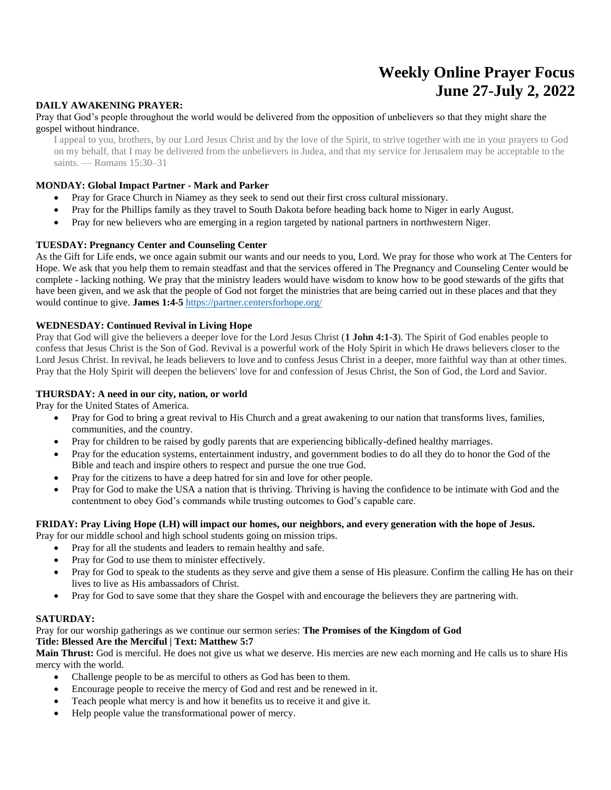# **Weekly Online Prayer Focus June 27-July 2, 2022**

#### **DAILY AWAKENING PRAYER:**

#### Pray that God's people throughout the world would be delivered from the opposition of unbelievers so that they might share the gospel without hindrance.

I appeal to you, brothers, by our Lord Jesus Christ and by the love of the Spirit, to strive together with me in your prayers to God on my behalf, that I may be delivered from the unbelievers in Judea, and that my service for Jerusalem may be acceptable to the saints. — Romans 15:30–31

#### **MONDAY: Global Impact Partner - Mark and Parker**

- Pray for Grace Church in Niamey as they seek to send out their first cross cultural missionary.
- Pray for the Phillips family as they travel to South Dakota before heading back home to Niger in early August.
- Pray for new believers who are emerging in a region targeted by national partners in northwestern Niger.

#### **TUESDAY: Pregnancy Center and Counseling Center**

As the Gift for Life ends, we once again submit our wants and our needs to you, Lord. We pray for those who work at The Centers for Hope. We ask that you help them to remain steadfast and that the services offered in The Pregnancy and Counseling Center would be complete - lacking nothing. We pray that the ministry leaders would have wisdom to know how to be good stewards of the gifts that have been given, and we ask that the people of God not forget the ministries that are being carried out in these places and that they would continue to give. **James 1:4-5** <https://partner.centersforhope.org/>

#### **WEDNESDAY: Continued Revival in Living Hope**

Pray that God will give the believers a deeper love for the Lord Jesus Christ (**1 John 4:1-3**). The Spirit of God enables people to confess that Jesus Christ is the Son of God. Revival is a powerful work of the Holy Spirit in which He draws believers closer to the Lord Jesus Christ. In revival, he leads believers to love and to confess Jesus Christ in a deeper, more faithful way than at other times. Pray that the Holy Spirit will deepen the believers' love for and confession of Jesus Christ, the Son of God, the Lord and Savior.

#### **THURSDAY: A need in our city, nation, or world**

Pray for the United States of America.

- Pray for God to bring a great revival to His Church and a great awakening to our nation that transforms lives, families, communities, and the country.
- Pray for children to be raised by godly parents that are experiencing biblically-defined healthy marriages.
- Pray for the education systems, entertainment industry, and government bodies to do all they do to honor the God of the Bible and teach and inspire others to respect and pursue the one true God.
- Pray for the citizens to have a deep hatred for sin and love for other people.
- Pray for God to make the USA a nation that is thriving. Thriving is having the confidence to be intimate with God and the contentment to obey God's commands while trusting outcomes to God's capable care.

## **FRIDAY: Pray Living Hope (LH) will impact our homes, our neighbors, and every generation with the hope of Jesus.**

- Pray for our middle school and high school students going on mission trips.
	- Pray for all the students and leaders to remain healthy and safe.
	- Pray for God to use them to minister effectively.
	- Pray for God to speak to the students as they serve and give them a sense of His pleasure. Confirm the calling He has on their lives to live as His ambassadors of Christ.
	- Pray for God to save some that they share the Gospel with and encourage the believers they are partnering with.

### **SATURDAY:**

#### Pray for our worship gatherings as we continue our sermon series: **The Promises of the Kingdom of God Title: Blessed Are the Merciful | Text: Matthew 5:7**

Main Thrust: God is merciful. He does not give us what we deserve. His mercies are new each morning and He calls us to share His mercy with the world.

- Challenge people to be as merciful to others as God has been to them.
- Encourage people to receive the mercy of God and rest and be renewed in it.
- Teach people what mercy is and how it benefits us to receive it and give it.
- Help people value the transformational power of mercy.